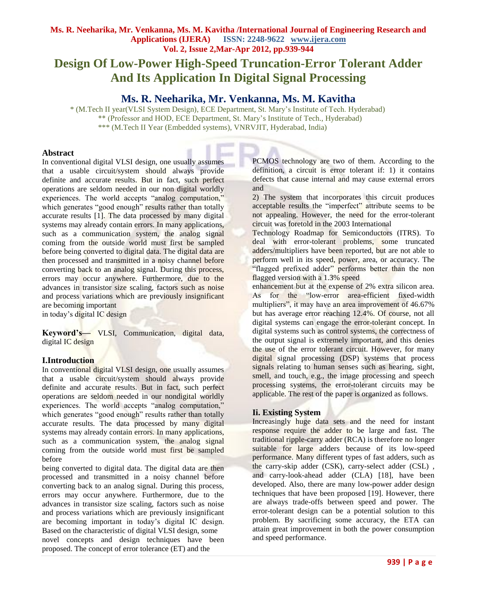# **Design Of Low-Power High-Speed Truncation-Error Tolerant Adder And Its Application In Digital Signal Processing**

## **Ms. R. Neeharika, Mr. Venkanna, Ms. M. Kavitha**

\* (M.Tech II year(VLSI System Design), ECE Department, St. Mary's Institute of Tech. Hyderabad) \*\* (Professor and HOD, ECE Department, St. Mary's Institute of Tech., Hyderabad) \*\*\* (M.Tech II Year (Embedded systems), VNRVJIT, Hyderabad, India)

## **Abstract**

In conventional digital VLSI design, one usually assumes that a usable circuit/system should always provide definite and accurate results. But in fact, such perfect operations are seldom needed in our non digital worldly experiences. The world accepts "analog computation," which generates "good enough" results rather than totally accurate results [1]. The data processed by many digital systems may already contain errors. In many applications, such as a communication system, the analog signal coming from the outside world must first be sampled before being converted to digital data. The digital data are then processed and transmitted in a noisy channel before converting back to an analog signal. During this process, errors may occur anywhere. Furthermore, due to the advances in transistor size scaling, factors such as noise and process variations which are previously insignificant are becoming important

in today's digital IC design

**Keyword's—** VLSI, Communication, digital data, digital IC design

## **I.Introduction**

In conventional digital VLSI design, one usually assumes that a usable circuit/system should always provide definite and accurate results. But in fact, such perfect operations are seldom needed in our nondigital worldly experiences. The world accepts "analog computation," which generates "good enough" results rather than totally accurate results. The data processed by many digital systems may already contain errors. In many applications, such as a communication system, the analog signal coming from the outside world must first be sampled before

being converted to digital data. The digital data are then processed and transmitted in a noisy channel before converting back to an analog signal. During this process, errors may occur anywhere. Furthermore, due to the advances in transistor size scaling, factors such as noise and process variations which are previously insignificant are becoming important in today's digital IC design. Based on the characteristic of digital VLSI design, some novel concepts and design techniques have been proposed. The concept of error tolerance (ET) and the

PCMOS technology are two of them. According to the definition, a circuit is error tolerant if: 1) it contains defects that cause internal and may cause external errors and

2) The system that incorporates this circuit produces acceptable results the "imperfect" attribute seems to be not appealing. However, the need for the error-tolerant circuit was foretold in the 2003 International

Technology Roadmap for Semiconductors (ITRS). To deal with error-tolerant problems, some truncated adders/multipliers have been reported, but are not able to perform well in its speed, power, area, or accuracy. The "flagged prefixed adder" performs better than the non flagged version with a 1.3% speed

enhancement but at the expense of 2% extra silicon area. As for the "low-error area-efficient fixed-width multipliers", it may have an area improvement of 46.67% but has average error reaching 12.4%. Of course, not all digital systems can engage the error-tolerant concept. In digital systems such as control systems, the correctness of the output signal is extremely important, and this denies the use of the error tolerant circuit. However, for many digital signal processing (DSP) systems that process signals relating to human senses such as hearing, sight, smell, and touch, e.g., the image processing and speech processing systems, the error-tolerant circuits may be applicable. The rest of the paper is organized as follows.

## **Ii. Existing System**

Increasingly huge data sets and the need for instant response require the adder to be large and fast. The traditional ripple-carry adder (RCA) is therefore no longer suitable for large adders because of its low-speed performance. Many different types of fast adders, such as the carry-skip adder (CSK), carry-select adder (CSL) , and carry-look-ahead adder (CLA) [18], have been developed. Also, there are many low-power adder design techniques that have been proposed [19]. However, there are always trade-offs between speed and power. The error-tolerant design can be a potential solution to this problem. By sacrificing some accuracy, the ETA can attain great improvement in both the power consumption and speed performance.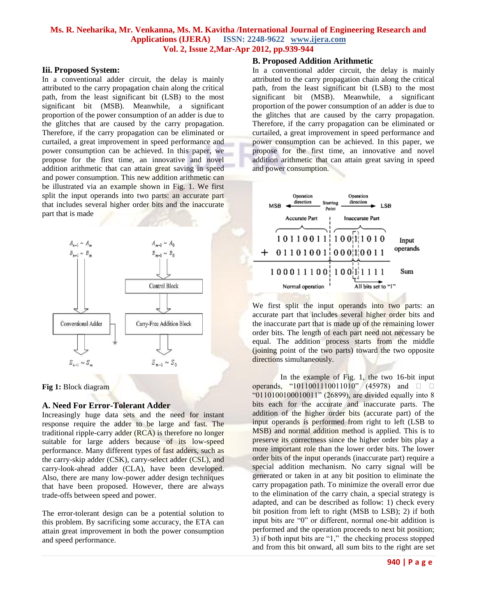#### **Iii. Proposed System:**

In a conventional adder circuit, the delay is mainly attributed to the carry propagation chain along the critical path, from the least significant bit (LSB) to the most significant bit (MSB). Meanwhile, a significant proportion of the power consumption of an adder is due to the glitches that are caused by the carry propagation. Therefore, if the carry propagation can be eliminated or curtailed, a great improvement in speed performance and power consumption can be achieved. In this paper, we propose for the first time, an innovative and novel addition arithmetic that can attain great saving in speed and power consumption. This new addition arithmetic can be illustrated via an example shown in Fig. 1. We first split the input operands into two parts: an accurate part that includes several higher order bits and the inaccurate part that is made



**Fig 1:** Block diagram

#### **A. Need For Error-Tolerant Adder**

Increasingly huge data sets and the need for instant response require the adder to be large and fast. The traditional ripple-carry adder (RCA) is therefore no longer suitable for large adders because of its low-speed performance. Many different types of fast adders, such as the carry-skip adder (CSK), carry-select adder (CSL), and carry-look-ahead adder (CLA), have been developed. Also, there are many low-power adder design techniques that have been proposed. However, there are always trade-offs between speed and power.

The error-tolerant design can be a potential solution to this problem. By sacrificing some accuracy, the ETA can attain great improvement in both the power consumption and speed performance.

#### **B. Proposed Addition Arithmetic**

In a conventional adder circuit, the delay is mainly attributed to the carry propagation chain along the critical path, from the least significant bit (LSB) to the most significant bit (MSB). Meanwhile, a significant proportion of the power consumption of an adder is due to the glitches that are caused by the carry propagation. Therefore, if the carry propagation can be eliminated or curtailed, a great improvement in speed performance and power consumption can be achieved. In this paper, we propose for the first time, an innovative and novel addition arithmetic that can attain great saving in speed and power consumption.



We first split the input operands into two parts: an accurate part that includes several higher order bits and the inaccurate part that is made up of the remaining lower order bits. The length of each part need not necessary be equal. The addition process starts from the middle (joining point of the two parts) toward the two opposite directions simultaneously.

In the example of Fig. 1, the two 16-bit input operands, "1011001110011010" (45978) and  $\square$ "0110100100010011" (26899), are divided equally into 8 bits each for the accurate and inaccurate parts. The addition of the higher order bits (accurate part) of the input operands is performed from right to left (LSB to MSB) and normal addition method is applied. This is to preserve its correctness since the higher order bits play a more important role than the lower order bits. The lower order bits of the input operands (inaccurate part) require a special addition mechanism. No carry signal will be generated or taken in at any bit position to eliminate the carry propagation path. To minimize the overall error due to the elimination of the carry chain, a special strategy is adapted, and can be described as follow: 1) check every bit position from left to right (MSB to LSB); 2) if both input bits are "0" or different, normal one-bit addition is performed and the operation proceeds to next bit position; 3) if both input bits are "1," the checking process stopped and from this bit onward, all sum bits to the right are set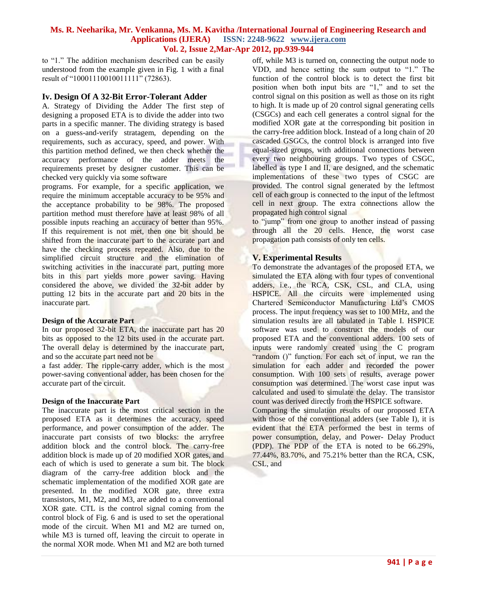to "1." The addition mechanism described can be easily understood from the example given in Fig. 1 with a final result of "10001110010011111" (72863).

#### **Iv. Design Of A 32-Bit Error-Tolerant Adder**

A. Strategy of Dividing the Adder The first step of designing a proposed ETA is to divide the adder into two parts in a specific manner. The dividing strategy is based on a guess-and-verify stratagem, depending on the requirements, such as accuracy, speed, and power. With this partition method defined, we then check whether the accuracy performance of the adder meets the requirements preset by designer customer. This can be checked very quickly via some software

programs. For example, for a specific application, we require the minimum acceptable accuracy to be 95% and the acceptance probability to be 98%. The proposed partition method must therefore have at least 98% of all possible inputs reaching an accuracy of better than 95%. If this requirement is not met, then one bit should be shifted from the inaccurate part to the accurate part and have the checking process repeated. Also, due to the simplified circuit structure and the elimination of switching activities in the inaccurate part, putting more bits in this part yields more power saving. Having considered the above, we divided the 32-bit adder by putting 12 bits in the accurate part and 20 bits in the inaccurate part.

#### **Design of the Accurate Part**

In our proposed 32-bit ETA, the inaccurate part has 20 bits as opposed to the 12 bits used in the accurate part. The overall delay is determined by the inaccurate part, and so the accurate part need not be

a fast adder. The ripple-carry adder, which is the most power-saving conventional adder, has been chosen for the accurate part of the circuit.

#### **Design of the Inaccurate Part**

The inaccurate part is the most critical section in the proposed ETA as it determines the accuracy, speed performance, and power consumption of the adder. The inaccurate part consists of two blocks: the arryfree addition block and the control block. The carry-free addition block is made up of 20 modified XOR gates, and each of which is used to generate a sum bit. The block diagram of the carry-free addition block and the schematic implementation of the modified XOR gate are presented. In the modified XOR gate, three extra transistors, M1, M2, and M3, are added to a conventional XOR gate. CTL is the control signal coming from the control block of Fig. 6 and is used to set the operational mode of the circuit. When M1 and M2 are turned on, while M3 is turned off, leaving the circuit to operate in the normal XOR mode. When M1 and M2 are both turned

off, while M3 is turned on, connecting the output node to VDD, and hence setting the sum output to "1." The function of the control block is to detect the first bit position when both input bits are "1," and to set the control signal on this position as well as those on its right to high. It is made up of 20 control signal generating cells (CSGCs) and each cell generates a control signal for the modified XOR gate at the corresponding bit position in the carry-free addition block. Instead of a long chain of 20 cascaded GSGCs, the control block is arranged into five equal-sized groups, with additional connections between every two neighbouring groups. Two types of CSGC, labelled as type I and II, are designed, and the schematic implementations of these two types of CSGC are provided. The control signal generated by the leftmost cell of each group is connected to the input of the leftmost cell in next group. The extra connections allow the propagated high control signal

to "jump" from one group to another instead of passing through all the 20 cells. Hence, the worst case propagation path consists of only ten cells.

#### **V. Experimental Results**

To demonstrate the advantages of the proposed ETA, we simulated the ETA along with four types of conventional adders, i.e., the RCA, CSK, CSL, and CLA, using HSPICE. All the circuits were implemented using Chartered Semiconductor Manufacturing Ltd's CMOS process. The input frequency was set to 100 MHz, and the simulation results are all tabulated in Table I. HSPICE software was used to construct the models of our proposed ETA and the conventional adders. 100 sets of inputs were randomly created using the C program "random ()" function. For each set of input, we ran the simulation for each adder and recorded the power consumption. With 100 sets of results, average power consumption was determined. The worst case input was calculated and used to simulate the delay. The transistor count was derived directly from the HSPICE software.

Comparing the simulation results of our proposed ETA with those of the conventional adders (see Table I), it is evident that the ETA performed the best in terms of power consumption, delay, and Power- Delay Product (PDP). The PDP of the ETA is noted to be 66.29%, 77.44%, 83.70%, and 75.21% better than the RCA, CSK, CSL, and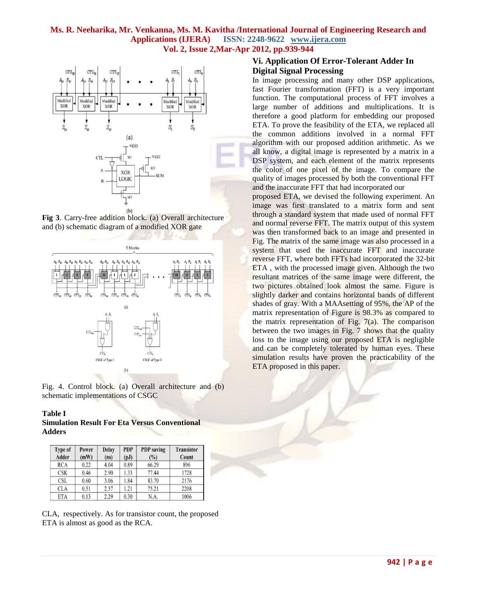





Fig. 4. Control block. (a) Overall architecture and (b) schematic implementations of CSGC

## **Table I**

**Simulation Result For Eta Versus Conventional Adders**

| Type of<br>Adder | Power<br>(mW) | Delay<br>(ns) | <b>PDP</b><br>(pJ) | PDP saving<br>(%) | Transistor<br>Count |
|------------------|---------------|---------------|--------------------|-------------------|---------------------|
| <b>RCA</b>       | 0.22          | 4.04          | 0.89               | 66.29             | 896                 |
| <b>CSK</b>       | 0.46          | 2.90          | 1.33               | 77.44             | 1728                |
| CSL              | 0.60          | 3.06          | 1.84               | 83.70             | 2176                |
| <b>CLA</b>       | 0.51          | 2.37          | 1.21               | 75.21             | 2208                |
| ETA              | 0.13          | 2.29          | 0.30               | N.A.              | 1006                |

CLA, respectively. As for transistor count, the proposed ETA is almost as good as the RCA.

## **Vi. Application Of Error-Tolerant Adder In Digital Signal Processing**

In image processing and many other DSP applications, fast Fourier transformation (FFT) is a very important function. The computational process of FFT involves a large number of additions and multiplications. It is therefore a good platform for embedding our proposed ETA. To prove the feasibility of the ETA, we replaced all the common additions involved in a normal FFT algorithm with our proposed addition arithmetic. As we all know, a digital image is represented by a matrix in a DSP system, and each element of the matrix represents the color of one pixel of the image. To compare the quality of images processed by both the conventional FFT and the inaccurate FFT that had incorporated our

proposed ETA, we devised the following experiment. An image was first translated to a matrix form and sent through a standard system that made used of normal FFT and normal reverse FFT. The matrix output of this system was then transformed back to an image and presented in Fig. The matrix of the same image was also processed in a system that used the inaccurate FFT and inaccurate reverse FFT, where both FFTs had incorporated the 32-bit ETA , with the processed image given. Although the two resultant matrices of the same image were different, the two pictures obtained look almost the same. Figure is slightly darker and contains horizontal bands of different shades of gray. With a MAAsetting of 95%, the AP of the matrix representation of Figure is 98.3% as compared to the matrix representation of Fig.  $7(a)$ . The comparison between the two images in Fig. 7 shows that the quality loss to the image using our proposed ETA is negligible and can be completely tolerated by human eyes. These simulation results have proven the practicability of the ETA proposed in this paper.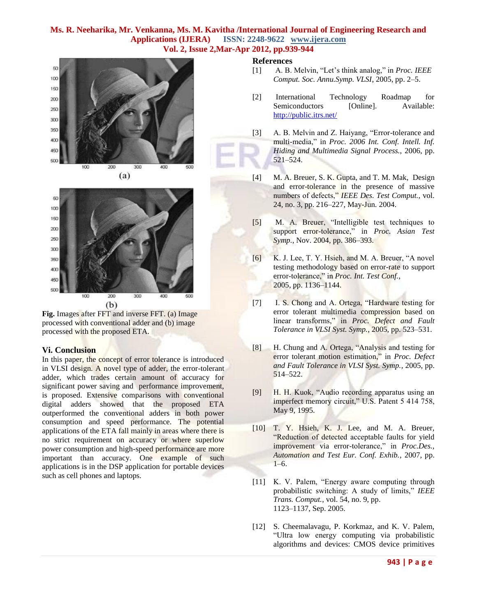





**Fig.** Images after FFT and inverse FFT. (a) Image processed with conventional adder and (b) image processed with the proposed ETA.

## **Vi. Conclusion**

In this paper, the concept of error tolerance is introduced in VLSI design. A novel type of adder, the error-tolerant adder, which trades certain amount of accuracy for significant power saving and performance improvement, is proposed. Extensive comparisons with conventional digital adders showed that the proposed ETA outperformed the conventional adders in both power consumption and speed performance. The potential applications of the ETA fall mainly in areas where there is no strict requirement on accuracy or where superlow power consumption and high-speed performance are more important than accuracy. One example of such applications is in the DSP application for portable devices such as cell phones and laptops.

#### **References**

- [1] A. B. Melvin, "Let's think analog," in *Proc. IEEE Comput. Soc. Annu.Symp. VLSI*, 2005, pp. 2–5.
- [2] International Technology Roadmap for Semiconductors [Online]. Available: <http://public.itrs.net/>
- [3] A. B. Melvin and Z. Haiyang, "Error-tolerance and multi-media," in *Proc. 2006 Int. Conf. Intell. Inf. Hiding and Multimedia Signal Process.*, 2006, pp. 521–524.
- [4] M. A. Breuer, S. K. Gupta, and T. M. Mak, Design and error-tolerance in the presence of massive numbers of defects," *IEEE Des. Test Comput.*, vol. 24, no. 3, pp. 216–227, May-Jun. 2004.
- [5] M. A. Breuer, "Intelligible test techniques to support error-tolerance," in *Proc. Asian Test Symp.*, Nov. 2004, pp. 386–393.
- [6] K. J. Lee, T. Y. Hsieh, and M. A. Breuer, "A novel testing methodology based on error-rate to support error-tolerance," in *Proc. Int. Test Conf.*, 2005, pp. 1136–1144.
- [7] I. S. Chong and A. Ortega, "Hardware testing for error tolerant multimedia compression based on linear transforms," in *Proc. Defect and Fault Tolerance in VLSI Syst. Symp.*, 2005, pp. 523–531.
- [8] H. Chung and A. Ortega, "Analysis and testing for error tolerant motion estimation," in *Proc. Defect and Fault Tolerance in VLSI Syst. Symp.*, 2005, pp. 514–522.
- [9] H. H. Kuok, "Audio recording apparatus using an imperfect memory circuit," U.S. Patent 5 414 758, May 9, 1995.
- [10] T. Y. Hsieh, K. J. Lee, and M. A. Breuer, "Reduction of detected acceptable faults for yield improvement via error-tolerance," in *Proc.Des., Automation and Test Eur. Conf. Exhib.*, 2007, pp. 1–6.
- [11] K. V. Palem, "Energy aware computing through probabilistic switching: A study of limits," *IEEE Trans. Comput.*, vol. 54, no. 9, pp. 1123–1137, Sep. 2005.
- [12] S. Cheemalavagu, P. Korkmaz, and K. V. Palem, "Ultra low energy computing via probabilistic algorithms and devices: CMOS device primitives